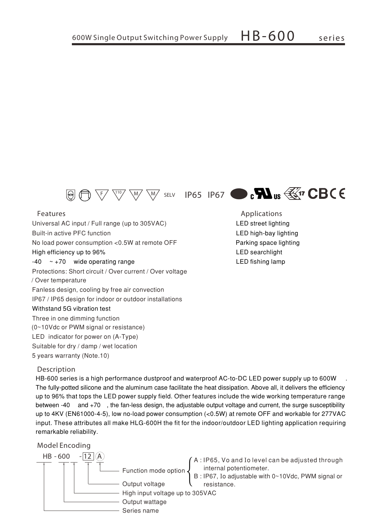

Universal AC input / Full range (up to 305VAC) **Built-in active PFC function** No load power consumption <0.5W at remote OFF High efficiency up to 96%  $-40$  ~ +70 wide operating range Protections: Short circuit / Over current / Over voltage / Over temperature Fanless design, cooling by free air convection IP67 / IP65 design for indoor or outdoor installations Withstand 5G vibration test Three in one dimming function (0~10Vdc or PWM signal or resistance) LED indicator for power on (A-Type) Suitable for dry / damp / wet location 5 years warranty (Note.10)

## **Description**

HB-600 series is a high performance dustproof and waterproof AC-to-DC LED power supply up to 600W The fully-potted silicone and the aluminum case facilitate the heat dissipation. Above all, it delivers the efficiency up to 96% that tops the LED power supply field. Other features include the wide working temperature range between -40 and +70, the fan-less design, the adjustable output voltage and current, the surge susceptibility up to 4KV (EN61000-4-5), low no-load power consumption (<0.5W) at remote OFF and workable for 277VAC input. These attributes all make HLG-600H the fit for the indoor/outdoor LED lighting application requiring remarkable reliability.

**Model Encoding**





LED street lighting LED high-bay lighting Parking space lighting LED searchlight LED fishing lamp **Features Applications**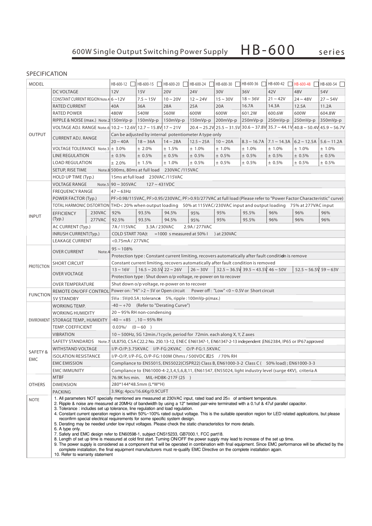## **SPECIFICATION**

| <b>MODEL</b>                         |                                                                                                                                                                                                                                                                                                                                                                                                                                                                                                                                                                                                                                                                                                                                                                                                                                                                                                                                                                                                                                                                                                                                                                                                                                                                                                   | HB-600-12                                                                                                   | HB-600-15                                                                                                                                                                                                | HB-600-20      | HB-600-24     | HB-600-30       | HB-600-36     | $HB-600-42$       | HB-600-48         | HB-600-54                                |               |
|--------------------------------------|---------------------------------------------------------------------------------------------------------------------------------------------------------------------------------------------------------------------------------------------------------------------------------------------------------------------------------------------------------------------------------------------------------------------------------------------------------------------------------------------------------------------------------------------------------------------------------------------------------------------------------------------------------------------------------------------------------------------------------------------------------------------------------------------------------------------------------------------------------------------------------------------------------------------------------------------------------------------------------------------------------------------------------------------------------------------------------------------------------------------------------------------------------------------------------------------------------------------------------------------------------------------------------------------------|-------------------------------------------------------------------------------------------------------------|----------------------------------------------------------------------------------------------------------------------------------------------------------------------------------------------------------|----------------|---------------|-----------------|---------------|-------------------|-------------------|------------------------------------------|---------------|
| DC VOLTAGE                           |                                                                                                                                                                                                                                                                                                                                                                                                                                                                                                                                                                                                                                                                                                                                                                                                                                                                                                                                                                                                                                                                                                                                                                                                                                                                                                   |                                                                                                             | 12V                                                                                                                                                                                                      | 15V            | <b>20V</b>    | 24V             | 30V           | 36V               | 42V               | 48V                                      | 54V           |
| <b>OUTPUT</b>                        | CONSTANT CURRENT REGION Note.4 6~12V                                                                                                                                                                                                                                                                                                                                                                                                                                                                                                                                                                                                                                                                                                                                                                                                                                                                                                                                                                                                                                                                                                                                                                                                                                                              |                                                                                                             |                                                                                                                                                                                                          | $7.5 \sim 15V$ | $10 \sim 20V$ | $12 \sim 24V$   | $15 \sim 30V$ | $18 - 36V$        | $21 - 42V$        | $24 - 48V$                               | $27 \sim 54V$ |
|                                      | RATED CURRENT                                                                                                                                                                                                                                                                                                                                                                                                                                                                                                                                                                                                                                                                                                                                                                                                                                                                                                                                                                                                                                                                                                                                                                                                                                                                                     |                                                                                                             | 40A                                                                                                                                                                                                      | 36A            | 28A           | 25A             | 20A           | 16.7A             | 14.3A             | 12.5A                                    | 11.2A         |
|                                      | <b>RATED POWER</b>                                                                                                                                                                                                                                                                                                                                                                                                                                                                                                                                                                                                                                                                                                                                                                                                                                                                                                                                                                                                                                                                                                                                                                                                                                                                                |                                                                                                             | 480W                                                                                                                                                                                                     | 540W           | 560W          | 600W            | 600W          | 601.2W            | 600.6W            | 600W                                     | 604.8W        |
|                                      | RIPPLE & NOISE (max.) Note.2 150mVp-p                                                                                                                                                                                                                                                                                                                                                                                                                                                                                                                                                                                                                                                                                                                                                                                                                                                                                                                                                                                                                                                                                                                                                                                                                                                             |                                                                                                             |                                                                                                                                                                                                          | $150mVp-p$     | 150mVp-p      | $150mVp-p$      | 200mVp-p      | 250mVp-p          | 250mVp-p          | 250mVp-p                                 | 350mVp-p      |
|                                      | VOLTAGE ADJ. RANGE Note.6 10.2 ~ 12.6V 12.7 ~ 15.8V 17 ~ 21V                                                                                                                                                                                                                                                                                                                                                                                                                                                                                                                                                                                                                                                                                                                                                                                                                                                                                                                                                                                                                                                                                                                                                                                                                                      |                                                                                                             |                                                                                                                                                                                                          |                |               |                 |               |                   |                   |                                          |               |
|                                      | <b>CURRENT ADJ. RANGE</b>                                                                                                                                                                                                                                                                                                                                                                                                                                                                                                                                                                                                                                                                                                                                                                                                                                                                                                                                                                                                                                                                                                                                                                                                                                                                         |                                                                                                             | $20.4 \sim 25.2$ V $\mid$ 25.5 $\sim$ 31.5V $\mid$ 30.6 $\sim$ 37.8V $\mid$ 35.7 $\sim$ 44.1V $\mid$ 40.8 $\sim$ 50.4V $\mid$ 45.9 $\sim$ 56.7V<br>Can be adjusted by internal potentiometer A type only |                |               |                 |               |                   |                   |                                          |               |
|                                      |                                                                                                                                                                                                                                                                                                                                                                                                                                                                                                                                                                                                                                                                                                                                                                                                                                                                                                                                                                                                                                                                                                                                                                                                                                                                                                   |                                                                                                             | $20 \sim 40A$                                                                                                                                                                                            | $18 \sim 36A$  | $14 \sim 28A$ | $12.5 \sim 25A$ | $10 \sim 20A$ | $8.3 \sim 16.7$ A | $7.1 \sim 14.3$ A | $6.2 \sim 12.5$ A $\mid 5.6 \sim 11.2$ A |               |
|                                      | VOLTAGE TOLERANCE Note.3 ± 3.0%                                                                                                                                                                                                                                                                                                                                                                                                                                                                                                                                                                                                                                                                                                                                                                                                                                                                                                                                                                                                                                                                                                                                                                                                                                                                   |                                                                                                             |                                                                                                                                                                                                          | ± 2.0%         | ± 1.5%        | $± 1.0\%$       | ± 1.0%        | ± 1.0%            | ± 1.0%            | ± 1.0%                                   | ± 1.0%        |
|                                      | <b>LINE REGULATION</b>                                                                                                                                                                                                                                                                                                                                                                                                                                                                                                                                                                                                                                                                                                                                                                                                                                                                                                                                                                                                                                                                                                                                                                                                                                                                            |                                                                                                             | ± 0.5%                                                                                                                                                                                                   | ± 0.5%         | ± 0.5%        | ± 0.5%          | ± 0.5%        | ± 0.5%            | ± 0.5%            | ± 0.5%                                   | ± 0.5%        |
|                                      | <b>LOAD REGULATION</b>                                                                                                                                                                                                                                                                                                                                                                                                                                                                                                                                                                                                                                                                                                                                                                                                                                                                                                                                                                                                                                                                                                                                                                                                                                                                            |                                                                                                             | $± 2.0\%$                                                                                                                                                                                                | ± 1.5%         | ± 1.0%        | ± 0.5%          | ± 0.5%        | ± 0.5%            | ± 0.5%            | ± 0.5%                                   | ± 0.5%        |
|                                      | SETUP, RISE TIME                                                                                                                                                                                                                                                                                                                                                                                                                                                                                                                                                                                                                                                                                                                                                                                                                                                                                                                                                                                                                                                                                                                                                                                                                                                                                  |                                                                                                             | Note.8 500ms, 80ms at full load 230VAC /115VAC                                                                                                                                                           |                |               |                 |               |                   |                   |                                          |               |
|                                      | HOLD UP TIME (Typ.)                                                                                                                                                                                                                                                                                                                                                                                                                                                                                                                                                                                                                                                                                                                                                                                                                                                                                                                                                                                                                                                                                                                                                                                                                                                                               |                                                                                                             | 15ms at full load 230VAC /115VAC                                                                                                                                                                         |                |               |                 |               |                   |                   |                                          |               |
|                                      | <b>VOLTAGE RANGE</b>                                                                                                                                                                                                                                                                                                                                                                                                                                                                                                                                                                                                                                                                                                                                                                                                                                                                                                                                                                                                                                                                                                                                                                                                                                                                              |                                                                                                             | Note.5 $90 \sim 305$ VAC<br>$127 - 431VDC$                                                                                                                                                               |                |               |                 |               |                   |                   |                                          |               |
| <b>INPUT</b>                         | <b>FREQUENCY RANGE</b>                                                                                                                                                                                                                                                                                                                                                                                                                                                                                                                                                                                                                                                                                                                                                                                                                                                                                                                                                                                                                                                                                                                                                                                                                                                                            |                                                                                                             | $47 \sim 63$ Hz                                                                                                                                                                                          |                |               |                 |               |                   |                   |                                          |               |
|                                      | POWER FACTOR (Typ.)                                                                                                                                                                                                                                                                                                                                                                                                                                                                                                                                                                                                                                                                                                                                                                                                                                                                                                                                                                                                                                                                                                                                                                                                                                                                               |                                                                                                             | PF>0.98/115VAC, PF>0.95/230VAC, PF>0.93/277VAC at full load (Please refer to "Power Factor Characteristic" curve)                                                                                        |                |               |                 |               |                   |                   |                                          |               |
|                                      |                                                                                                                                                                                                                                                                                                                                                                                                                                                                                                                                                                                                                                                                                                                                                                                                                                                                                                                                                                                                                                                                                                                                                                                                                                                                                                   |                                                                                                             | TOTAL HARMONIC DISTORTION  THD< 20% when output loading 50% at 115VAC/230VAC input and output loading 75% at 277VAC input                                                                                |                |               |                 |               |                   |                   |                                          |               |
|                                      | <b>EFFICIENCY</b>                                                                                                                                                                                                                                                                                                                                                                                                                                                                                                                                                                                                                                                                                                                                                                                                                                                                                                                                                                                                                                                                                                                                                                                                                                                                                 | 230VAC                                                                                                      | 92%                                                                                                                                                                                                      | 93.5%          | 94.5%         | 95%             | 95%           | 95.5%             | 96%               | 96%                                      | 96%           |
|                                      | (Typ.)                                                                                                                                                                                                                                                                                                                                                                                                                                                                                                                                                                                                                                                                                                                                                                                                                                                                                                                                                                                                                                                                                                                                                                                                                                                                                            | 277VAC                                                                                                      | 92.5%                                                                                                                                                                                                    | 93.5%          | 94.5%         | 95%             | 95%           | 95.5%             | 96%               | 96%                                      | 96%           |
|                                      | AC CURRENT (Typ.)                                                                                                                                                                                                                                                                                                                                                                                                                                                                                                                                                                                                                                                                                                                                                                                                                                                                                                                                                                                                                                                                                                                                                                                                                                                                                 |                                                                                                             | 7A/115VAC                                                                                                                                                                                                |                |               | 2.9A / 277VAC   |               |                   |                   |                                          |               |
|                                      | INRUSH CURRENT(Typ.)                                                                                                                                                                                                                                                                                                                                                                                                                                                                                                                                                                                                                                                                                                                                                                                                                                                                                                                                                                                                                                                                                                                                                                                                                                                                              |                                                                                                             | 3.3A / 230VAC<br><b>COLD START 70A(t)</b><br>$=$ 1000 s measured at 50% l<br>) at 230VAC                                                                                                                 |                |               |                 |               |                   |                   |                                          |               |
|                                      | <b>LEAKAGE CURRENT</b>                                                                                                                                                                                                                                                                                                                                                                                                                                                                                                                                                                                                                                                                                                                                                                                                                                                                                                                                                                                                                                                                                                                                                                                                                                                                            |                                                                                                             | <0.75mA / 277VAC                                                                                                                                                                                         |                |               |                 |               |                   |                   |                                          |               |
|                                      | <b>OVER CURRENT</b><br>Note.                                                                                                                                                                                                                                                                                                                                                                                                                                                                                                                                                                                                                                                                                                                                                                                                                                                                                                                                                                                                                                                                                                                                                                                                                                                                      |                                                                                                             |                                                                                                                                                                                                          |                |               |                 |               |                   |                   |                                          |               |
| <b>PROTECTION</b>                    |                                                                                                                                                                                                                                                                                                                                                                                                                                                                                                                                                                                                                                                                                                                                                                                                                                                                                                                                                                                                                                                                                                                                                                                                                                                                                                   |                                                                                                             | $95 \sim 108\%$<br>Protection type: Constant current limiting, recovers automatically after fault condition is remove                                                                                    |                |               |                 |               |                   |                   |                                          |               |
|                                      | <b>SHORT CIRCUIT</b>                                                                                                                                                                                                                                                                                                                                                                                                                                                                                                                                                                                                                                                                                                                                                                                                                                                                                                                                                                                                                                                                                                                                                                                                                                                                              |                                                                                                             | Constant current limiting, recovers automatically after fault condition is removed                                                                                                                       |                |               |                 |               |                   |                   |                                          |               |
|                                      | <b>OVER VOLTAGE</b>                                                                                                                                                                                                                                                                                                                                                                                                                                                                                                                                                                                                                                                                                                                                                                                                                                                                                                                                                                                                                                                                                                                                                                                                                                                                               |                                                                                                             | $16.5 \sim 20.5$ V 22 ~ 26V<br>$32.5 \sim 36.5$ V 39.5 ~ 43.5V 46 ~ 50V<br>$52.5 \sim 56.5V$ 59 ~ 63V<br>$13 \sim 16V$<br>$26 \sim 30V$                                                                  |                |               |                 |               |                   |                   |                                          |               |
|                                      |                                                                                                                                                                                                                                                                                                                                                                                                                                                                                                                                                                                                                                                                                                                                                                                                                                                                                                                                                                                                                                                                                                                                                                                                                                                                                                   |                                                                                                             | Protection type: Shut down o/p voltage, re-power on to recover                                                                                                                                           |                |               |                 |               |                   |                   |                                          |               |
|                                      | <b>OVER TEMPERATURE</b>                                                                                                                                                                                                                                                                                                                                                                                                                                                                                                                                                                                                                                                                                                                                                                                                                                                                                                                                                                                                                                                                                                                                                                                                                                                                           |                                                                                                             | Shut down o/p voltage, re-power on to recover                                                                                                                                                            |                |               |                 |               |                   |                   |                                          |               |
| <b>FUNCTION</b><br><b>5V STANDBY</b> |                                                                                                                                                                                                                                                                                                                                                                                                                                                                                                                                                                                                                                                                                                                                                                                                                                                                                                                                                                                                                                                                                                                                                                                                                                                                                                   | REMOTE ON/OFF CONTROL Power on : "Hi" > 2 ~ 5V or Open circuit Power off: "Low" < 0 ~ 0.5V or Short circuit |                                                                                                                                                                                                          |                |               |                 |               |                   |                   |                                          |               |
|                                      |                                                                                                                                                                                                                                                                                                                                                                                                                                                                                                                                                                                                                                                                                                                                                                                                                                                                                                                                                                                                                                                                                                                                                                                                                                                                                                   | 5VsB: 5V@0.5A; tolerance 5%, ripple: 100mVp-p(max.)                                                         |                                                                                                                                                                                                          |                |               |                 |               |                   |                   |                                          |               |
|                                      | <b>WORKING TEMP.</b>                                                                                                                                                                                                                                                                                                                                                                                                                                                                                                                                                                                                                                                                                                                                                                                                                                                                                                                                                                                                                                                                                                                                                                                                                                                                              |                                                                                                             | $-40 \sim +70$ (Refer to "Derating Curve")                                                                                                                                                               |                |               |                 |               |                   |                   |                                          |               |
|                                      | <b>WORKING HUMIDITY</b>                                                                                                                                                                                                                                                                                                                                                                                                                                                                                                                                                                                                                                                                                                                                                                                                                                                                                                                                                                                                                                                                                                                                                                                                                                                                           |                                                                                                             | $20 \sim 95\%$ RH non-condensing                                                                                                                                                                         |                |               |                 |               |                   |                   |                                          |               |
|                                      | ENVIRONMENT   STORAGE TEMP., HUMIDITY                                                                                                                                                                                                                                                                                                                                                                                                                                                                                                                                                                                                                                                                                                                                                                                                                                                                                                                                                                                                                                                                                                                                                                                                                                                             |                                                                                                             | $-40 \sim +85$ , $10 \sim 95\%$ RH                                                                                                                                                                       |                |               |                 |               |                   |                   |                                          |               |
|                                      | <b>TEMP. COEFFICIENT</b>                                                                                                                                                                                                                                                                                                                                                                                                                                                                                                                                                                                                                                                                                                                                                                                                                                                                                                                                                                                                                                                                                                                                                                                                                                                                          |                                                                                                             | $0.03\% /$ $(0 \sim 60)$                                                                                                                                                                                 |                |               |                 |               |                   |                   |                                          |               |
|                                      | <b>VIBRATION</b>                                                                                                                                                                                                                                                                                                                                                                                                                                                                                                                                                                                                                                                                                                                                                                                                                                                                                                                                                                                                                                                                                                                                                                                                                                                                                  |                                                                                                             | 10 ~ 500Hz, 5G 12min./1cycle, period for 72min. each along X, Y, Z axes                                                                                                                                  |                |               |                 |               |                   |                   |                                          |               |
|                                      |                                                                                                                                                                                                                                                                                                                                                                                                                                                                                                                                                                                                                                                                                                                                                                                                                                                                                                                                                                                                                                                                                                                                                                                                                                                                                                   |                                                                                                             | SAFETY STANDARDS Note.7 UL8750, CSAC22.2 No. 250.13-12, ENEC EN61347-1, EN61347-2-13 independent EN62384, IP65 or IP67 approved                                                                          |                |               |                 |               |                   |                   |                                          |               |
| SAFETY&<br>EMC                       | <b>WITHSTAND VOLTAGE</b>                                                                                                                                                                                                                                                                                                                                                                                                                                                                                                                                                                                                                                                                                                                                                                                                                                                                                                                                                                                                                                                                                                                                                                                                                                                                          |                                                                                                             | I/P-O/P:3.75KVAC I/P-FG:2KVAC O/P-FG:1.5KVAC                                                                                                                                                             |                |               |                 |               |                   |                   |                                          |               |
|                                      | <b>ISOLATION RESISTANCE</b>                                                                                                                                                                                                                                                                                                                                                                                                                                                                                                                                                                                                                                                                                                                                                                                                                                                                                                                                                                                                                                                                                                                                                                                                                                                                       |                                                                                                             | I/P-O/P, I/P-FG, O/P-FG:100M Ohms / 500VDC 25 / 70% RH                                                                                                                                                   |                |               |                 |               |                   |                   |                                          |               |
|                                      | <b>EMC EMISSION</b>                                                                                                                                                                                                                                                                                                                                                                                                                                                                                                                                                                                                                                                                                                                                                                                                                                                                                                                                                                                                                                                                                                                                                                                                                                                                               |                                                                                                             | Compliance to EN55015, EN55022(CISPR22) Class B, EN61000-3-2 Class C (50% load); EN61000-3-3                                                                                                             |                |               |                 |               |                   |                   |                                          |               |
|                                      | EMC IMMUNITY                                                                                                                                                                                                                                                                                                                                                                                                                                                                                                                                                                                                                                                                                                                                                                                                                                                                                                                                                                                                                                                                                                                                                                                                                                                                                      |                                                                                                             | Compliance to EN61000-4-2,3,4,5,6,8,11, EN61547, EN55024, light industry level (surge 4KV), criteria A                                                                                                   |                |               |                 |               |                   |                   |                                          |               |
| <b>OTHERS</b>                        | <b>MTBF</b>                                                                                                                                                                                                                                                                                                                                                                                                                                                                                                                                                                                                                                                                                                                                                                                                                                                                                                                                                                                                                                                                                                                                                                                                                                                                                       |                                                                                                             | MIL-HDBK-217F (25<br>76.9K hrs min.                                                                                                                                                                      |                |               |                 |               |                   |                   |                                          |               |
|                                      | <b>DIMENSION</b>                                                                                                                                                                                                                                                                                                                                                                                                                                                                                                                                                                                                                                                                                                                                                                                                                                                                                                                                                                                                                                                                                                                                                                                                                                                                                  |                                                                                                             | 280*144*48.5mm (L*W*H)                                                                                                                                                                                   |                |               |                 |               |                   |                   |                                          |               |
|                                      | <b>PACKING</b>                                                                                                                                                                                                                                                                                                                                                                                                                                                                                                                                                                                                                                                                                                                                                                                                                                                                                                                                                                                                                                                                                                                                                                                                                                                                                    |                                                                                                             | 3.9Kg; 4pcs/16.6Kg/0.9CUFT                                                                                                                                                                               |                |               |                 |               |                   |                   |                                          |               |
| <b>NOTE</b>                          | 1. All parameters NOT specially mentioned are measured at 230VAC input, rated load and $25\pm$ of ambient temperature.<br>2. Ripple & noise are measured at 20MHz of bandwidth by using a 12" twisted pair-wire terminated with a 0.1uf & 47uf parallel capacitor.<br>3. Tolerance: includes set up tolerance, line regulation and load regulation.<br>4. Constant current operation region is within 50%~100% rated output voltage. This is the suitable operation region for LED related applications, but please<br>reconfirm special electrical requirements for some specific system design.<br>5. Derating may be needed under low input voltages. Please check the static characteristics for more details.<br>6. A type only.<br>7. Safety and EMC design refer to EN60598-1, subject CNS15233, GB7000.1, FCC part18.<br>8. Length of set up time is measured at cold first start. Turning ON/OFF the power supply may lead to increase of the set up time.<br>9. The power supply is considered as a component that will be operated in combination with final equipment. Since EMC performance will be affected by the<br>complete installation, the final equipment manufacturers must re-qualify EMC Directive on the complete installation again.<br>10. Refer to warranty statement |                                                                                                             |                                                                                                                                                                                                          |                |               |                 |               |                   |                   |                                          |               |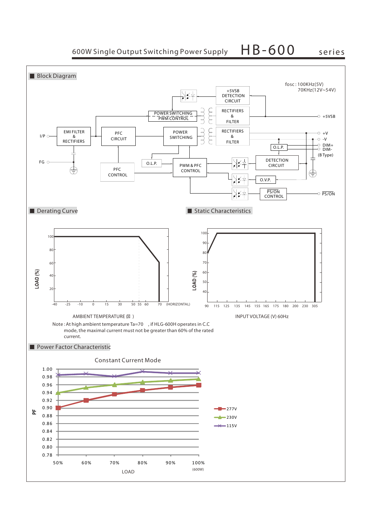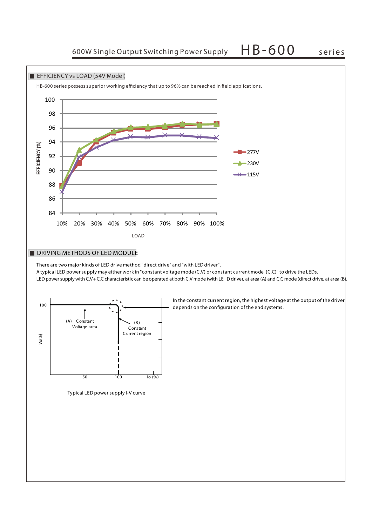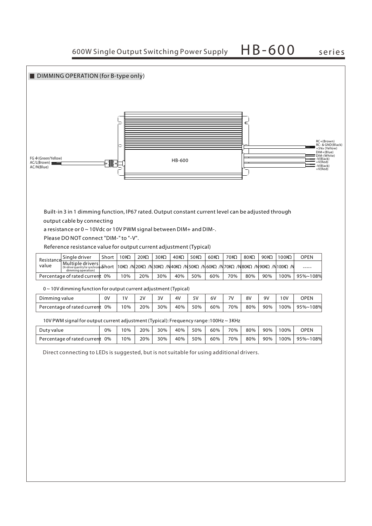